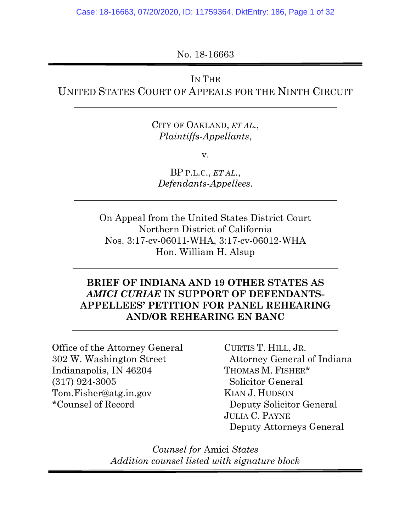No. 18-16663

## IN THE

UNITED STATES COURT OF APPEALS FOR THE NINTH CIRCUIT

CITY OF OAKLAND, *ET AL.*, *Plaintiffs-Appellants*,

v.

BP P.L.C., *ET AL.*, *Defendants-Appellees*.

On Appeal from the United States District Court Northern District of California Nos. 3:17-cv-06011-WHA, 3:17-cv-06012-WHA Hon. William H. Alsup

## **BRIEF OF INDIANA AND 19 OTHER STATES AS**  *AMICI CURIAE* **IN SUPPORT OF DEFENDANTS-APPELLEES' PETITION FOR PANEL REHEARING AND/OR REHEARING EN BANC**

Office of the Attorney General 302 W. Washington Street Indianapolis, IN 46204 (317) 924-3005 Tom.Fisher@atg.in.gov \*Counsel of Record

CURTIS T. HILL, JR. Attorney General of Indiana THOMAS M. FISHER\* Solicitor General KIAN J. HUDSON Deputy Solicitor General JULIA C. PAYNE Deputy Attorneys General

*Counsel for* Amici *States Addition counsel listed with signature block*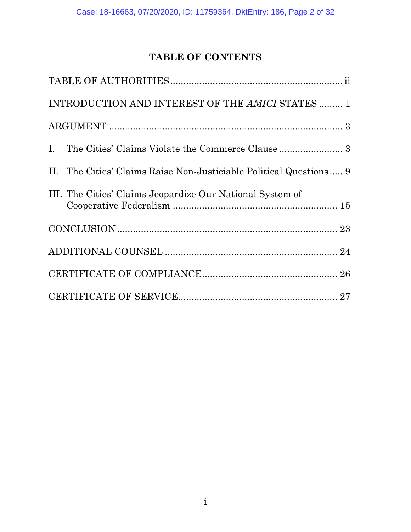## **TABLE OF CONTENTS**

| INTRODUCTION AND INTEREST OF THE AMICI STATES  1                   |
|--------------------------------------------------------------------|
|                                                                    |
|                                                                    |
| II. The Cities' Claims Raise Non-Justiciable Political Questions 9 |
| III. The Cities' Claims Jeopardize Our National System of          |
|                                                                    |
|                                                                    |
|                                                                    |
|                                                                    |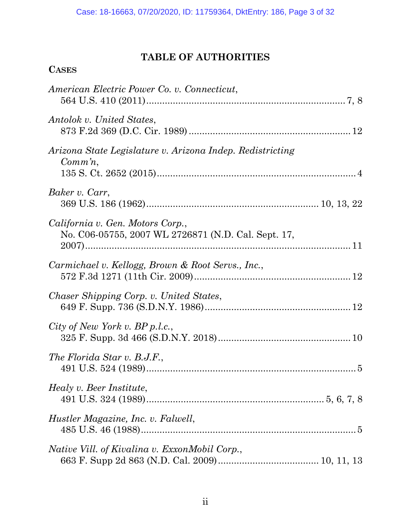## **TABLE OF AUTHORITIES**

| <b>CASES</b>                                                                            |  |
|-----------------------------------------------------------------------------------------|--|
| American Electric Power Co. v. Connecticut,                                             |  |
| Antolok v. United States,                                                               |  |
| Arizona State Legislature v. Arizona Indep. Redistricting<br>$Comm\, n$ ,               |  |
| Baker v. Carr,                                                                          |  |
| California v. Gen. Motors Corp.,<br>No. C06-05755, 2007 WL 2726871 (N.D. Cal. Sept. 17, |  |
| Carmichael v. Kellogg, Brown & Root Servs., Inc.,                                       |  |
| Chaser Shipping Corp. v. United States,                                                 |  |
| City of New York v. $BP$ p.l.c.,                                                        |  |
| The Florida Star v. B.J.F.,                                                             |  |
| Healy v. Beer Institute,                                                                |  |
| Hustler Magazine, Inc. v. Falwell,                                                      |  |
| Native Vill. of Kivalina v. ExxonMobil Corp.,                                           |  |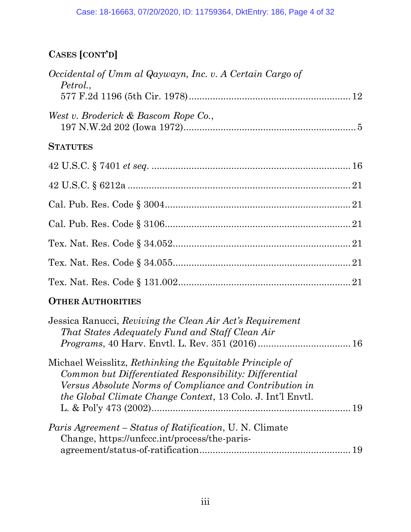# **CASES [CONT'D]**

| Occidental of Umm al Qaywayn, Inc. v. A Certain Cargo of<br>Petrol.,                                                                                                                                                                                |  |
|-----------------------------------------------------------------------------------------------------------------------------------------------------------------------------------------------------------------------------------------------------|--|
|                                                                                                                                                                                                                                                     |  |
| West v. Broderick & Bascom Rope Co.,                                                                                                                                                                                                                |  |
| <b>STATUTES</b>                                                                                                                                                                                                                                     |  |
|                                                                                                                                                                                                                                                     |  |
|                                                                                                                                                                                                                                                     |  |
|                                                                                                                                                                                                                                                     |  |
|                                                                                                                                                                                                                                                     |  |
|                                                                                                                                                                                                                                                     |  |
|                                                                                                                                                                                                                                                     |  |
|                                                                                                                                                                                                                                                     |  |
| <b>OTHER AUTHORITIES</b>                                                                                                                                                                                                                            |  |
| Jessica Ranucci, Reviving the Clean Air Act's Requirement<br>That States Adequately Fund and Staff Clean Air                                                                                                                                        |  |
| Michael Weisslitz, Rethinking the Equitable Principle of<br>Common but Differentiated Responsibility: Differential<br>Versus Absolute Norms of Compliance and Contribution in<br><i>the Global Climate Change Context,</i> 13 Colo. J. Int'l Envtl. |  |
| Paris Agreement - Status of Ratification, U. N. Climate<br>Change, https://unfccc.int/process/the-paris-<br>19                                                                                                                                      |  |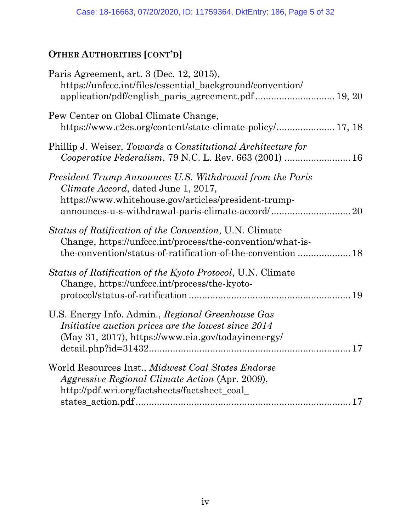# **OTHER AUTHORITIES [CONT'D]**

| Paris Agreement, art. 3 (Dec. 12, 2015),<br>https://unfccc.int/files/essential_background/convention/<br>application/pdf/english_paris_agreement.pdf 19, 20                                                 |  |
|-------------------------------------------------------------------------------------------------------------------------------------------------------------------------------------------------------------|--|
| Pew Center on Global Climate Change,<br>https://www.c2es.org/content/state-climate-policy/ 17, 18                                                                                                           |  |
| Phillip J. Weiser, Towards a Constitutional Architecture for<br>Cooperative Federalism, 79 N.C. L. Rev. 663 (2001)  16                                                                                      |  |
| President Trump Announces U.S. Withdrawal from the Paris<br>Climate Accord, dated June 1, 2017,<br>https://www.whitehouse.gov/articles/president-trump-<br>announces-u-s-withdrawal-paris-climate-accord/20 |  |
| Status of Ratification of the Convention, U.N. Climate<br>Change, https://unfccc.int/process/the-convention/what-is-<br>the-convention/status-of-ratification-of-the-convention  18                         |  |
| <i>Status of Ratification of the Kyoto Protocol, U.N. Climate</i><br>Change, https://unfccc.int/process/the-kyoto-                                                                                          |  |
| U.S. Energy Info. Admin., Regional Greenhouse Gas<br>Initiative auction prices are the lowest since 2014<br>(May 31, 2017), https://www.eia.gov/todayinenergy/                                              |  |
| World Resources Inst., Midwest Coal States Endorse<br><i>Aggressive Regional Climate Action (Apr. 2009),</i><br>http://pdf.wri.org/factsheets/factsheet_coal_                                               |  |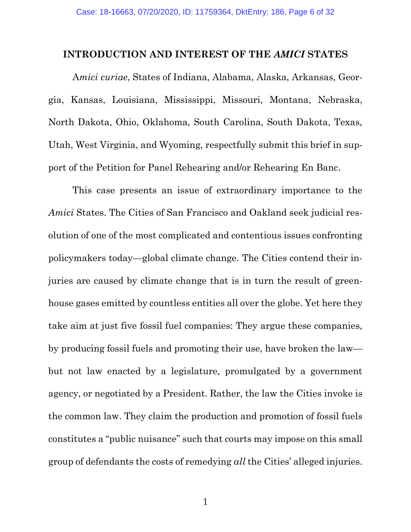#### **INTRODUCTION AND INTEREST OF THE** *AMICI* **STATES**

A*mici curiae*, States of Indiana, Alabama, Alaska, Arkansas, Georgia, Kansas, Louisiana, Mississippi, Missouri, Montana, Nebraska, North Dakota, Ohio, Oklahoma, South Carolina, South Dakota, Texas, Utah, West Virginia, and Wyoming, respectfully submit this brief in support of the Petition for Panel Rehearing and/or Rehearing En Banc.

This case presents an issue of extraordinary importance to the *Amici* States. The Cities of San Francisco and Oakland seek judicial resolution of one of the most complicated and contentious issues confronting policymakers today—global climate change. The Cities contend their injuries are caused by climate change that is in turn the result of greenhouse gases emitted by countless entities all over the globe. Yet here they take aim at just five fossil fuel companies: They argue these companies, by producing fossil fuels and promoting their use, have broken the law but not law enacted by a legislature, promulgated by a government agency, or negotiated by a President. Rather, the law the Cities invoke is the common law. They claim the production and promotion of fossil fuels constitutes a "public nuisance" such that courts may impose on this small group of defendants the costs of remedying *all* the Cities' alleged injuries.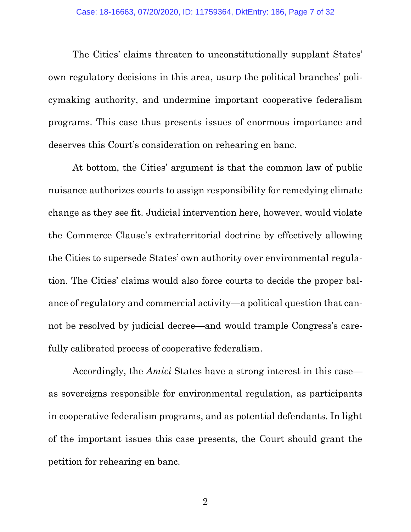The Cities' claims threaten to unconstitutionally supplant States' own regulatory decisions in this area, usurp the political branches' policymaking authority, and undermine important cooperative federalism programs. This case thus presents issues of enormous importance and deserves this Court's consideration on rehearing en banc.

At bottom, the Cities' argument is that the common law of public nuisance authorizes courts to assign responsibility for remedying climate change as they see fit. Judicial intervention here, however, would violate the Commerce Clause's extraterritorial doctrine by effectively allowing the Cities to supersede States' own authority over environmental regulation. The Cities' claims would also force courts to decide the proper balance of regulatory and commercial activity—a political question that cannot be resolved by judicial decree—and would trample Congress's carefully calibrated process of cooperative federalism.

Accordingly, the *Amici* States have a strong interest in this case as sovereigns responsible for environmental regulation, as participants in cooperative federalism programs, and as potential defendants. In light of the important issues this case presents, the Court should grant the petition for rehearing en banc.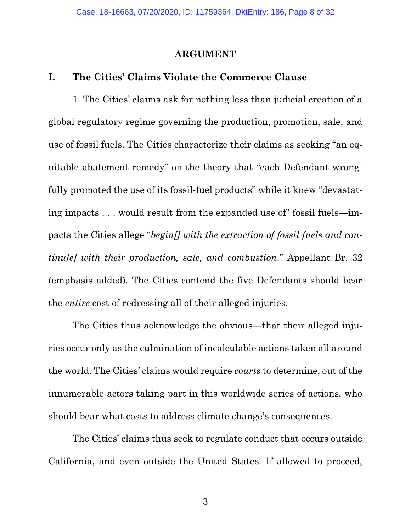#### **ARGUMENT**

#### **I. The Cities' Claims Violate the Commerce Clause**

1. The Cities' claims ask for nothing less than judicial creation of a global regulatory regime governing the production, promotion, sale, and use of fossil fuels. The Cities characterize their claims as seeking "an equitable abatement remedy" on the theory that "each Defendant wrongfully promoted the use of its fossil-fuel products" while it knew "devastating impacts . . . would result from the expanded use of" fossil fuels—impacts the Cities allege "*begin[] with the extraction of fossil fuels and continu[e] with their production, sale, and combustion*." Appellant Br. 32 (emphasis added). The Cities contend the five Defendants should bear the *entire* cost of redressing all of their alleged injuries.

The Cities thus acknowledge the obvious—that their alleged injuries occur only as the culmination of incalculable actions taken all around the world. The Cities' claims would require *courts* to determine, out of the innumerable actors taking part in this worldwide series of actions, who should bear what costs to address climate change's consequences.

The Cities' claims thus seek to regulate conduct that occurs outside California, and even outside the United States. If allowed to proceed,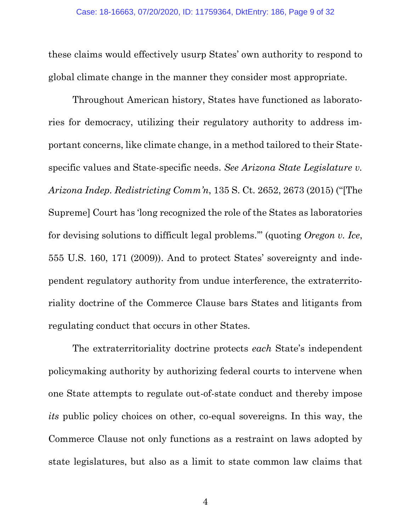these claims would effectively usurp States' own authority to respond to global climate change in the manner they consider most appropriate.

<span id="page-8-0"></span>Throughout American history, States have functioned as laboratories for democracy, utilizing their regulatory authority to address important concerns, like climate change, in a method tailored to their Statespecific values and State-specific needs. *See Arizona State Legislature v. Arizona Indep. Redistricting Comm'n*, 135 S. Ct. 2652, 2673 (2015) ("[The Supreme] Court has 'long recognized the role of the States as laboratories for devising solutions to difficult legal problems.'" (quoting *Oregon v. Ice*, 555 U.S. 160, 171 (2009)). And to protect States' sovereignty and independent regulatory authority from undue interference, the extraterritoriality doctrine of the Commerce Clause bars States and litigants from regulating conduct that occurs in other States.

The extraterritoriality doctrine protects *each* State's independent policymaking authority by authorizing federal courts to intervene when one State attempts to regulate out-of-state conduct and thereby impose *its* public policy choices on other, co-equal sovereigns. In this way, the Commerce Clause not only functions as a restraint on laws adopted by state legislatures, but also as a limit to state common law claims that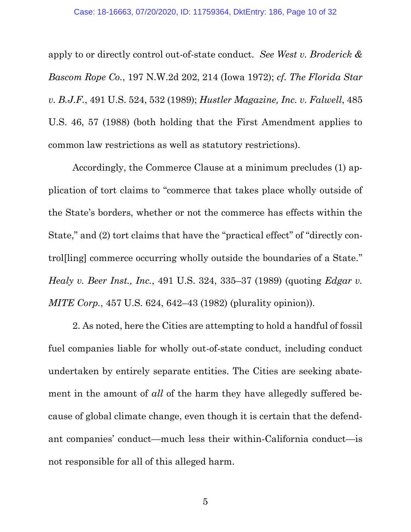<span id="page-9-3"></span><span id="page-9-2"></span><span id="page-9-0"></span>apply to or directly control out-of-state conduct. *See West v. Broderick & Bascom Rope Co.*, 197 N.W.2d 202, 214 (Iowa 1972); *cf. The Florida Star v. B.J.F.*, 491 U.S. 524, 532 (1989); *Hustler Magazine, Inc. v. Falwell*, 485 U.S. 46, 57 (1988) (both holding that the First Amendment applies to common law restrictions as well as statutory restrictions).

Accordingly, the Commerce Clause at a minimum precludes (1) application of tort claims to "commerce that takes place wholly outside of the State's borders, whether or not the commerce has effects within the State," and (2) tort claims that have the "practical effect" of "directly control[ling] commerce occurring wholly outside the boundaries of a State." *Healy v. Beer Inst., Inc.*, 491 U.S. 324, 335–37 (1989) (quoting *Edgar v. MITE Corp.*, 457 U.S. 624, 642–43 (1982) (plurality opinion)).

<span id="page-9-1"></span>2. As noted, here the Cities are attempting to hold a handful of fossil fuel companies liable for wholly out-of-state conduct, including conduct undertaken by entirely separate entities. The Cities are seeking abatement in the amount of *all* of the harm they have allegedly suffered because of global climate change, even though it is certain that the defendant companies' conduct—much less their within-California conduct—is not responsible for all of this alleged harm.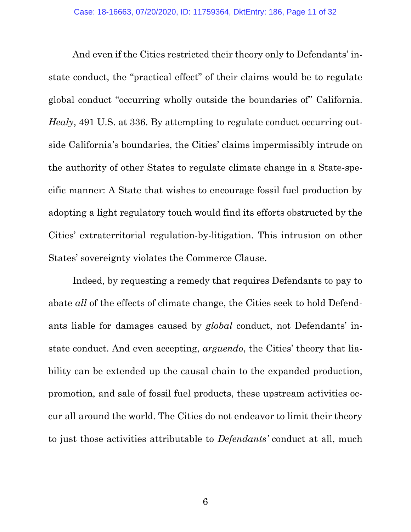<span id="page-10-0"></span>And even if the Cities restricted their theory only to Defendants' instate conduct, the "practical effect" of their claims would be to regulate global conduct "occurring wholly outside the boundaries of" California. *Healy*, 491 U.S. at 336. By attempting to regulate conduct occurring outside California's boundaries, the Cities' claims impermissibly intrude on the authority of other States to regulate climate change in a State-specific manner: A State that wishes to encourage fossil fuel production by adopting a light regulatory touch would find its efforts obstructed by the Cities' extraterritorial regulation-by-litigation. This intrusion on other States' sovereignty violates the Commerce Clause.

Indeed, by requesting a remedy that requires Defendants to pay to abate *all* of the effects of climate change, the Cities seek to hold Defendants liable for damages caused by *global* conduct, not Defendants' instate conduct. And even accepting, *arguendo*, the Cities' theory that liability can be extended up the causal chain to the expanded production, promotion, and sale of fossil fuel products, these upstream activities occur all around the world. The Cities do not endeavor to limit their theory to just those activities attributable to *Defendants'* conduct at all, much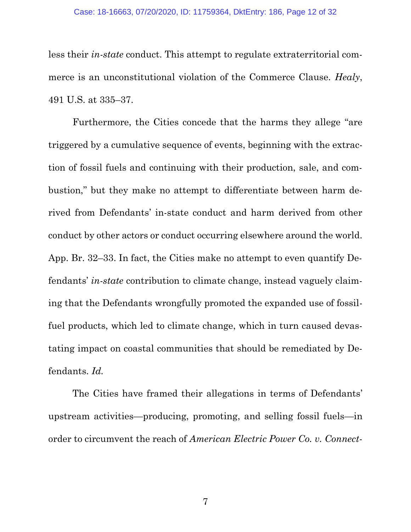<span id="page-11-1"></span>less their *in-state* conduct. This attempt to regulate extraterritorial commerce is an unconstitutional violation of the Commerce Clause. *Healy*, 491 U.S. at 335–37.

Furthermore, the Cities concede that the harms they allege "are triggered by a cumulative sequence of events, beginning with the extraction of fossil fuels and continuing with their production, sale, and combustion," but they make no attempt to differentiate between harm derived from Defendants' in-state conduct and harm derived from other conduct by other actors or conduct occurring elsewhere around the world. App. Br. 32–33. In fact, the Cities make no attempt to even quantify Defendants' *in-state* contribution to climate change, instead vaguely claiming that the Defendants wrongfully promoted the expanded use of fossilfuel products, which led to climate change, which in turn caused devastating impact on coastal communities that should be remediated by Defendants. *Id.*

<span id="page-11-0"></span>The Cities have framed their allegations in terms of Defendants' upstream activities—producing, promoting, and selling fossil fuels—in order to circumvent the reach of *American Electric Power Co. v. Connect-*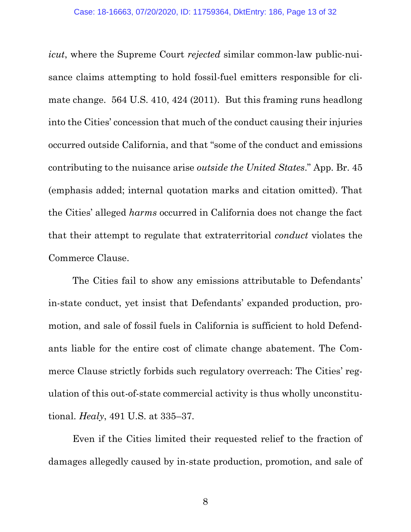*icut*, where the Supreme Court *rejected* similar common-law public-nuisance claims attempting to hold fossil-fuel emitters responsible for climate change. 564 U.S. 410, 424 (2011). But this framing runs headlong into the Cities' concession that much of the conduct causing their injuries occurred outside California, and that "some of the conduct and emissions contributing to the nuisance arise *outside the United States*." App. Br. 45 (emphasis added; internal quotation marks and citation omitted). That the Cities' alleged *harms* occurred in California does not change the fact that their attempt to regulate that extraterritorial *conduct* violates the Commerce Clause.

The Cities fail to show any emissions attributable to Defendants' in-state conduct, yet insist that Defendants' expanded production, promotion, and sale of fossil fuels in California is sufficient to hold Defendants liable for the entire cost of climate change abatement. The Commerce Clause strictly forbids such regulatory overreach: The Cities' regulation of this out-of-state commercial activity is thus wholly unconstitutional. *Healy*, 491 U.S. at 335–37.

<span id="page-12-0"></span>Even if the Cities limited their requested relief to the fraction of damages allegedly caused by in-state production, promotion, and sale of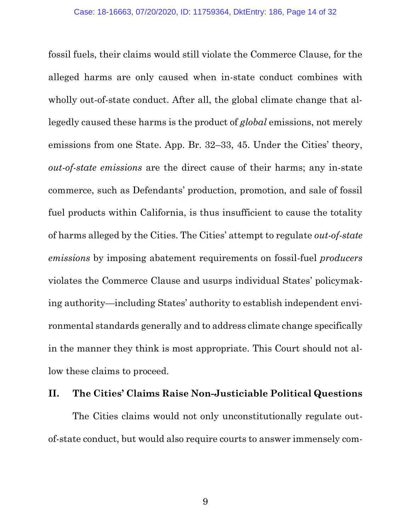fossil fuels, their claims would still violate the Commerce Clause, for the alleged harms are only caused when in-state conduct combines with wholly out-of-state conduct. After all, the global climate change that allegedly caused these harms is the product of *global* emissions, not merely emissions from one State. App. Br. 32–33, 45. Under the Cities' theory, *out-of-state emissions* are the direct cause of their harms; any in-state commerce, such as Defendants' production, promotion, and sale of fossil fuel products within California, is thus insufficient to cause the totality of harms alleged by the Cities. The Cities' attempt to regulate *out-of-state emissions* by imposing abatement requirements on fossil-fuel *producers* violates the Commerce Clause and usurps individual States' policymaking authority—including States' authority to establish independent environmental standards generally and to address climate change specifically in the manner they think is most appropriate. This Court should not allow these claims to proceed.

### **II. The Cities' Claims Raise Non-Justiciable Political Questions**

The Cities claims would not only unconstitutionally regulate outof-state conduct, but would also require courts to answer immensely com-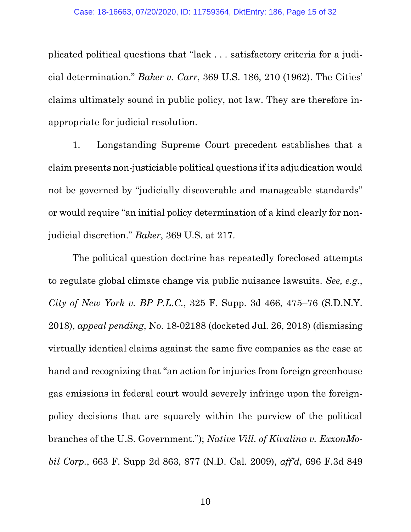plicated political questions that "lack . . . satisfactory criteria for a judicial determination." *Baker v. Carr*, 369 U.S. 186, 210 (1962). The Cities' claims ultimately sound in public policy, not law. They are therefore inappropriate for judicial resolution.

1. Longstanding Supreme Court precedent establishes that a claim presents non-justiciable political questions if its adjudication would not be governed by "judicially discoverable and manageable standards" or would require "an initial policy determination of a kind clearly for nonjudicial discretion." *Baker*, 369 U.S. at 217.

<span id="page-14-2"></span><span id="page-14-1"></span><span id="page-14-0"></span>The political question doctrine has repeatedly foreclosed attempts to regulate global climate change via public nuisance lawsuits. *See, e.g.*, *City of New York v. BP P.L.C.*, 325 F. Supp. 3d 466, 475–76 (S.D.N.Y. 2018), *appeal pending*, No. 18-02188 (docketed Jul. 26, 2018) (dismissing virtually identical claims against the same five companies as the case at hand and recognizing that "an action for injuries from foreign greenhouse gas emissions in federal court would severely infringe upon the foreignpolicy decisions that are squarely within the purview of the political branches of the U.S. Government."); *Native Vill. of Kivalina v. ExxonMobil Corp.*, 663 F. Supp 2d 863, 877 (N.D. Cal. 2009), *aff'd*, 696 F.3d 849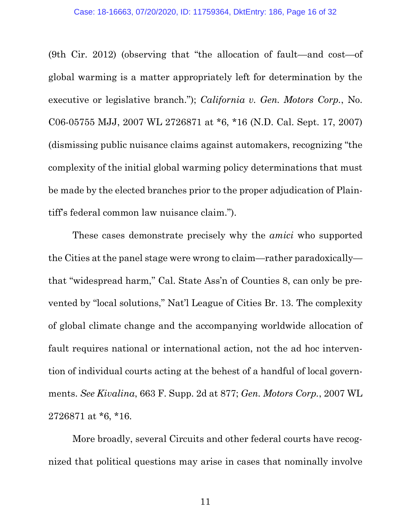<span id="page-15-0"></span>(9th Cir. 2012) (observing that "the allocation of fault—and cost—of global warming is a matter appropriately left for determination by the executive or legislative branch."); *California v. Gen. Motors Corp.*, No. C06-05755 MJJ, 2007 WL 2726871 at \*6, \*16 (N.D. Cal. Sept. 17, 2007) (dismissing public nuisance claims against automakers, recognizing "the complexity of the initial global warming policy determinations that must be made by the elected branches prior to the proper adjudication of Plaintiff's federal common law nuisance claim.").

These cases demonstrate precisely why the *amici* who supported the Cities at the panel stage were wrong to claim—rather paradoxically that "widespread harm," Cal. State Ass'n of Counties 8, can only be prevented by "local solutions," Nat'l League of Cities Br. 13. The complexity of global climate change and the accompanying worldwide allocation of fault requires national or international action, not the ad hoc intervention of individual courts acting at the behest of a handful of local governments. *See Kivalina*, 663 F. Supp. 2d at 877; *Gen. Motors Corp.*, 2007 WL 2726871 at \*6, \*16.

<span id="page-15-1"></span>More broadly, several Circuits and other federal courts have recognized that political questions may arise in cases that nominally involve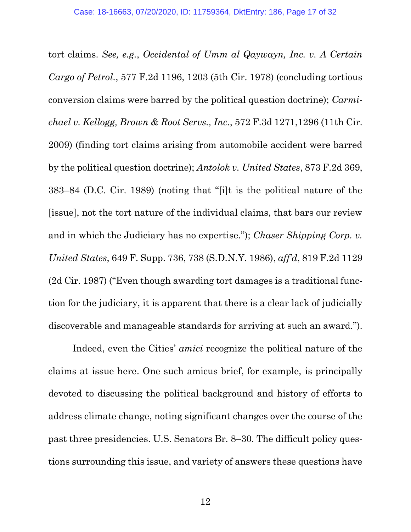<span id="page-16-3"></span><span id="page-16-1"></span><span id="page-16-0"></span>tort claims. *See, e.g.*, *Occidental of Umm al Qaywayn, Inc. v. A Certain Cargo of Petrol.*, 577 F.2d 1196, 1203 (5th Cir. 1978) (concluding tortious conversion claims were barred by the political question doctrine); *Carmichael v. Kellogg, Brown & Root Servs., Inc.*, 572 F.3d 1271,1296 (11th Cir. 2009) (finding tort claims arising from automobile accident were barred by the political question doctrine); *Antolok v. United States*, 873 F.2d 369, 383–84 (D.C. Cir. 1989) (noting that "[i]t is the political nature of the [issue], not the tort nature of the individual claims, that bars our review and in which the Judiciary has no expertise."); *Chaser Shipping Corp. v. United States*, 649 F. Supp. 736, 738 (S.D.N.Y. 1986), *aff'd*, 819 F.2d 1129 (2d Cir. 1987) ("Even though awarding tort damages is a traditional function for the judiciary, it is apparent that there is a clear lack of judicially discoverable and manageable standards for arriving at such an award.").

<span id="page-16-2"></span>Indeed, even the Cities' *amici* recognize the political nature of the claims at issue here. One such amicus brief, for example, is principally devoted to discussing the political background and history of efforts to address climate change, noting significant changes over the course of the past three presidencies. U.S. Senators Br*.* 8–30. The difficult policy questions surrounding this issue, and variety of answers these questions have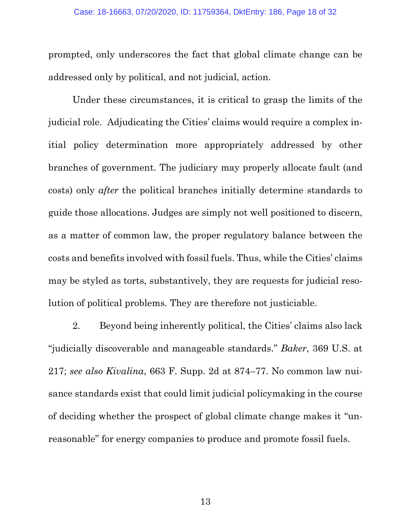prompted, only underscores the fact that global climate change can be addressed only by political, and not judicial, action.

Under these circumstances, it is critical to grasp the limits of the judicial role. Adjudicating the Cities' claims would require a complex initial policy determination more appropriately addressed by other branches of government. The judiciary may properly allocate fault (and costs) only *after* the political branches initially determine standards to guide those allocations. Judges are simply not well positioned to discern, as a matter of common law, the proper regulatory balance between the costs and benefits involved with fossil fuels. Thus, while the Cities' claims may be styled as torts, substantively, they are requests for judicial resolution of political problems. They are therefore not justiciable.

<span id="page-17-1"></span><span id="page-17-0"></span>2. Beyond being inherently political, the Cities' claims also lack "judicially discoverable and manageable standards." *Baker*, 369 U.S. at 217; *see also Kivalina*, 663 F. Supp. 2d at 874–77. No common law nuisance standards exist that could limit judicial policymaking in the course of deciding whether the prospect of global climate change makes it "unreasonable" for energy companies to produce and promote fossil fuels.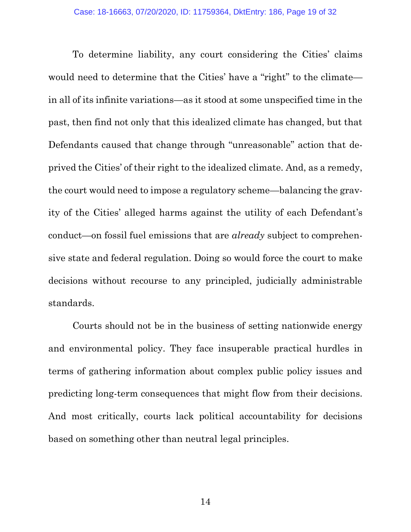To determine liability, any court considering the Cities' claims would need to determine that the Cities' have a "right" to the climate in all of its infinite variations—as it stood at some unspecified time in the past, then find not only that this idealized climate has changed, but that Defendants caused that change through "unreasonable" action that deprived the Cities' of their right to the idealized climate. And, as a remedy, the court would need to impose a regulatory scheme—balancing the gravity of the Cities' alleged harms against the utility of each Defendant's conduct—on fossil fuel emissions that are *already* subject to comprehensive state and federal regulation. Doing so would force the court to make decisions without recourse to any principled, judicially administrable standards.

Courts should not be in the business of setting nationwide energy and environmental policy. They face insuperable practical hurdles in terms of gathering information about complex public policy issues and predicting long-term consequences that might flow from their decisions. And most critically, courts lack political accountability for decisions based on something other than neutral legal principles.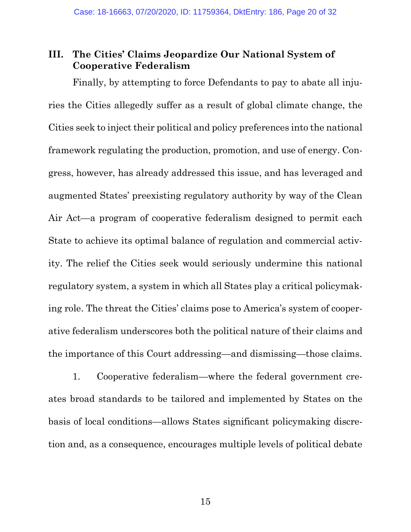## **III. The Cities' Claims Jeopardize Our National System of Cooperative Federalism**

Finally, by attempting to force Defendants to pay to abate all injuries the Cities allegedly suffer as a result of global climate change, the Cities seek to inject their political and policy preferences into the national framework regulating the production, promotion, and use of energy. Congress, however, has already addressed this issue, and has leveraged and augmented States' preexisting regulatory authority by way of the Clean Air Act—a program of cooperative federalism designed to permit each State to achieve its optimal balance of regulation and commercial activity. The relief the Cities seek would seriously undermine this national regulatory system, a system in which all States play a critical policymaking role. The threat the Cities' claims pose to America's system of cooperative federalism underscores both the political nature of their claims and the importance of this Court addressing—and dismissing—those claims.

1. Cooperative federalism—where the federal government creates broad standards to be tailored and implemented by States on the basis of local conditions—allows States significant policymaking discretion and, as a consequence, encourages multiple levels of political debate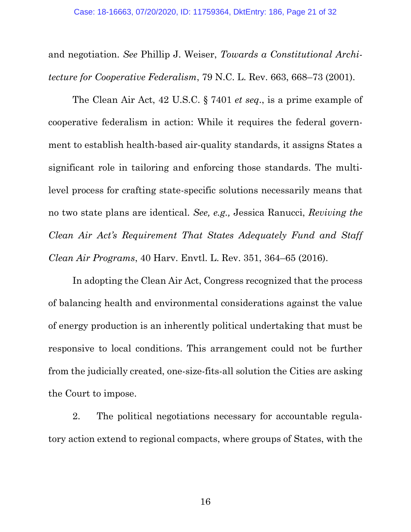<span id="page-20-2"></span>and negotiation. *See* Phillip J. Weiser, *Towards a Constitutional Architecture for Cooperative Federalism*, 79 N.C. L. Rev. 663, 668–73 (2001).

<span id="page-20-0"></span>The Clean Air Act, 42 U.S.C. § 7401 *et seq*., is a prime example of cooperative federalism in action: While it requires the federal government to establish health-based air-quality standards, it assigns States a significant role in tailoring and enforcing those standards. The multilevel process for crafting state-specific solutions necessarily means that no two state plans are identical. *See, e.g.,* Jessica Ranucci, *Reviving the Clean Air Act's Requirement That States Adequately Fund and Staff Clean Air Programs*, 40 Harv. Envtl. L. Rev. 351, 364–65 (2016).

<span id="page-20-1"></span>In adopting the Clean Air Act, Congress recognized that the process of balancing health and environmental considerations against the value of energy production is an inherently political undertaking that must be responsive to local conditions. This arrangement could not be further from the judicially created, one-size-fits-all solution the Cities are asking the Court to impose.

2. The political negotiations necessary for accountable regulatory action extend to regional compacts, where groups of States, with the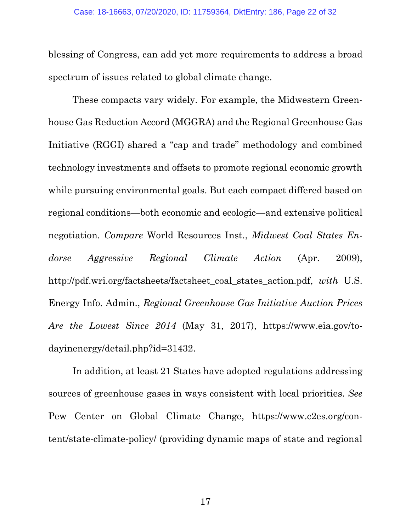blessing of Congress, can add yet more requirements to address a broad spectrum of issues related to global climate change.

<span id="page-21-2"></span>These compacts vary widely. For example, the Midwestern Greenhouse Gas Reduction Accord (MGGRA) and the Regional Greenhouse Gas Initiative (RGGI) shared a "cap and trade" methodology and combined technology investments and offsets to promote regional economic growth while pursuing environmental goals. But each compact differed based on regional conditions—both economic and ecologic—and extensive political negotiation. *Compare* World Resources Inst., *Midwest Coal States Endorse Aggressive Regional Climate Action* (Apr. 2009), http://pdf.wri.org/factsheets/factsheet\_coal\_states\_action.pdf, *with* U.S. Energy Info. Admin., *Regional Greenhouse Gas Initiative Auction Prices Are the Lowest Since 2014* (May 31, 2017), https://www.eia.gov/todayinenergy/detail.php?id=31432.

<span id="page-21-1"></span><span id="page-21-0"></span>In addition, at least 21 States have adopted regulations addressing sources of greenhouse gases in ways consistent with local priorities. *See*  Pew Center on Global Climate Change, https://www.c2es.org/content/state-climate-policy/ (providing dynamic maps of state and regional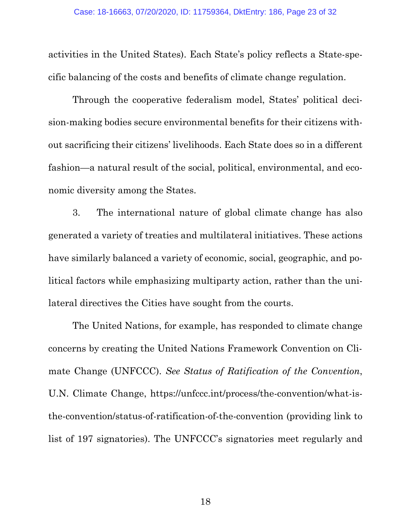activities in the United States). Each State's policy reflects a State-specific balancing of the costs and benefits of climate change regulation.

Through the cooperative federalism model, States' political decision-making bodies secure environmental benefits for their citizens without sacrificing their citizens' livelihoods. Each State does so in a different fashion—a natural result of the social, political, environmental, and economic diversity among the States.

3. The international nature of global climate change has also generated a variety of treaties and multilateral initiatives. These actions have similarly balanced a variety of economic, social, geographic, and political factors while emphasizing multiparty action, rather than the unilateral directives the Cities have sought from the courts.

<span id="page-22-0"></span>The United Nations, for example, has responded to climate change concerns by creating the United Nations Framework Convention on Climate Change (UNFCCC). *See Status of Ratification of the Convention*, U.N. Climate Change, https://unfccc.int/process/the-convention/what-isthe-convention/status-of-ratification-of-the-convention (providing link to list of 197 signatories). The UNFCCC's signatories meet regularly and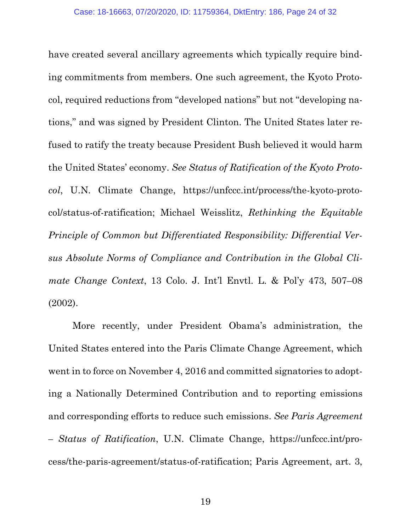<span id="page-23-2"></span>have created several ancillary agreements which typically require binding commitments from members. One such agreement, the Kyoto Protocol, required reductions from "developed nations" but not "developing nations," and was signed by President Clinton. The United States later refused to ratify the treaty because President Bush believed it would harm the United States' economy. *See Status of Ratification of the Kyoto Protocol*, U.N. Climate Change, https://unfccc.int/process/the-kyoto-protocol/status-of-ratification; Michael Weisslitz, *Rethinking the Equitable Principle of Common but Differentiated Responsibility: Differential Versus Absolute Norms of Compliance and Contribution in the Global Climate Change Context*, 13 Colo. J. Int'l Envtl. L. & Pol'y 473, 507–08 (2002).

<span id="page-23-1"></span><span id="page-23-0"></span>More recently, under President Obama's administration, the United States entered into the Paris Climate Change Agreement, which went in to force on November 4, 2016 and committed signatories to adopting a Nationally Determined Contribution and to reporting emissions and corresponding efforts to reduce such emissions. *See Paris Agreement – Status of Ratification*, U.N. Climate Change, https://unfccc.int/process/the-paris-agreement/status-of-ratification; Paris Agreement, art. 3,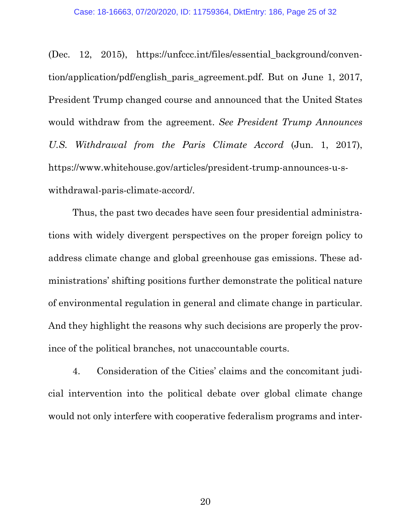<span id="page-24-0"></span>(Dec. 12, 2015), https://unfccc.int/files/essential\_background/convention/application/pdf/english\_paris\_agreement.pdf. But on June 1, 2017, President Trump changed course and announced that the United States would withdraw from the agreement. *See President Trump Announces U.S. Withdrawal from the Paris Climate Accord* (Jun. 1, 2017), https://www.whitehouse.gov/articles/president-trump-announces-u-swithdrawal-paris-climate-accord/.

Thus, the past two decades have seen four presidential administrations with widely divergent perspectives on the proper foreign policy to address climate change and global greenhouse gas emissions. These administrations' shifting positions further demonstrate the political nature of environmental regulation in general and climate change in particular. And they highlight the reasons why such decisions are properly the province of the political branches, not unaccountable courts.

4. Consideration of the Cities' claims and the concomitant judicial intervention into the political debate over global climate change would not only interfere with cooperative federalism programs and inter-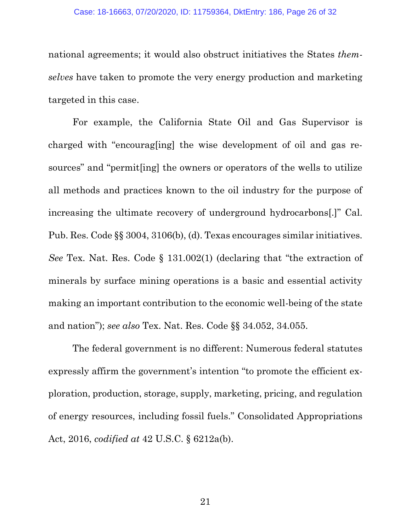national agreements; it would also obstruct initiatives the States *themselves* have taken to promote the very energy production and marketing targeted in this case.

<span id="page-25-1"></span>For example, the California State Oil and Gas Supervisor is charged with "encourag[ing] the wise development of oil and gas resources" and "permit[ing] the owners or operators of the wells to utilize all methods and practices known to the oil industry for the purpose of increasing the ultimate recovery of underground hydrocarbons[.]" Cal. Pub. Res. Code §§ 3004, 3106(b), (d). Texas encourages similar initiatives. *See* Tex. Nat. Res. Code § 131.002(1) (declaring that "the extraction of minerals by surface mining operations is a basic and essential activity making an important contribution to the economic well-being of the state and nation"); *see also* Tex. Nat. Res. Code §§ 34.052, 34.055.

<span id="page-25-3"></span><span id="page-25-2"></span><span id="page-25-0"></span>The federal government is no different: Numerous federal statutes expressly affirm the government's intention "to promote the efficient exploration, production, storage, supply, marketing, pricing, and regulation of energy resources, including fossil fuels." Consolidated Appropriations Act, 2016, *codified at* 42 U.S.C. § 6212a(b).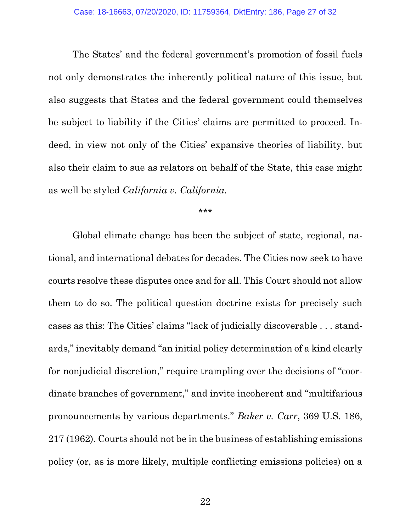The States' and the federal government's promotion of fossil fuels not only demonstrates the inherently political nature of this issue, but also suggests that States and the federal government could themselves be subject to liability if the Cities' claims are permitted to proceed. Indeed, in view not only of the Cities' expansive theories of liability, but also their claim to sue as relators on behalf of the State, this case might as well be styled *California v. California.*

<span id="page-26-0"></span>\*\*\*

Global climate change has been the subject of state, regional, national, and international debates for decades. The Cities now seek to have courts resolve these disputes once and for all. This Court should not allow them to do so. The political question doctrine exists for precisely such cases as this: The Cities' claims "lack of judicially discoverable . . . standards," inevitably demand "an initial policy determination of a kind clearly for nonjudicial discretion," require trampling over the decisions of "coordinate branches of government," and invite incoherent and "multifarious pronouncements by various departments." *Baker v. Carr*, 369 U.S. 186, 217 (1962). Courts should not be in the business of establishing emissions policy (or, as is more likely, multiple conflicting emissions policies) on a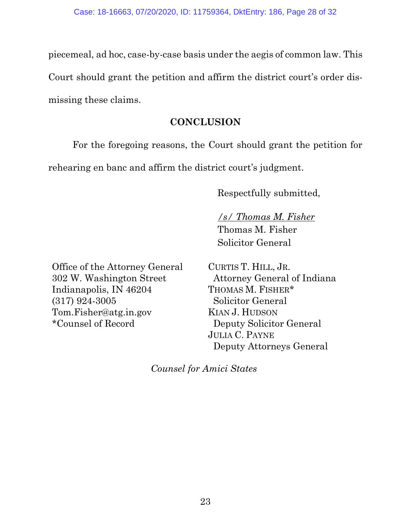piecemeal, ad hoc, case-by-case basis under the aegis of common law. This Court should grant the petition and affirm the district court's order dismissing these claims.

## **CONCLUSION**

For the foregoing reasons, the Court should grant the petition for rehearing en banc and affirm the district court's judgment.

Respectfully submitted,

*/s/ Thomas M. Fisher* Thomas M. Fisher Solicitor General

Office of the Attorney General 302 W. Washington Street Indianapolis, IN 46204 (317) 924-3005 Tom.Fisher@atg.in.gov \*Counsel of Record

CURTIS T. HILL, JR. Attorney General of Indiana THOMAS M. FISHER\* Solicitor General KIAN J. HUDSON Deputy Solicitor General JULIA C. PAYNE Deputy Attorneys General

*Counsel for Amici States*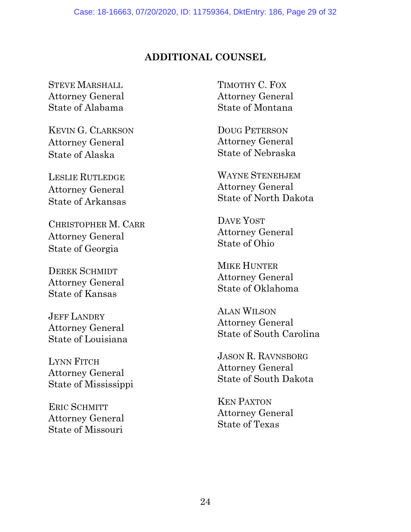### **ADDITIONAL COUNSEL**

STEVE MARSHALL Attorney General State of Alabama

KEVIN G. CLARKSON Attorney General State of Alaska

LESLIE RUTLEDGE Attorney General State of Arkansas

CHRISTOPHER M. CARR Attorney General State of Georgia

DEREK SCHMIDT Attorney General State of Kansas

JEFF LANDRY Attorney General State of Louisiana

LYNN FITCH Attorney General State of Mississippi

ERIC SCHMITT Attorney General State of Missouri

TIMOTHY C. FOX Attorney General State of Montana

DOUG PETERSON Attorney General State of Nebraska

WAYNE STENEHJEM Attorney General State of North Dakota

DAVE YOST Attorney General State of Ohio

MIKE HUNTER Attorney General State of Oklahoma

ALAN WILSON Attorney General State of South Carolina

JASON R. RAVNSBORG Attorney General State of South Dakota

KEN PAXTON Attorney General State of Texas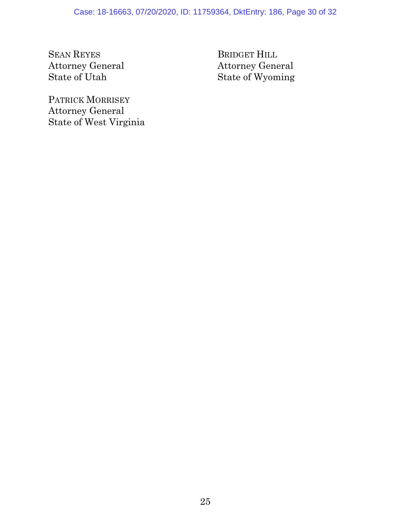SEAN REYES Attorney General State of Utah

BRIDGET HILL Attorney General State of Wyoming

PATRICK MORRISEY Attorney General State of West Virginia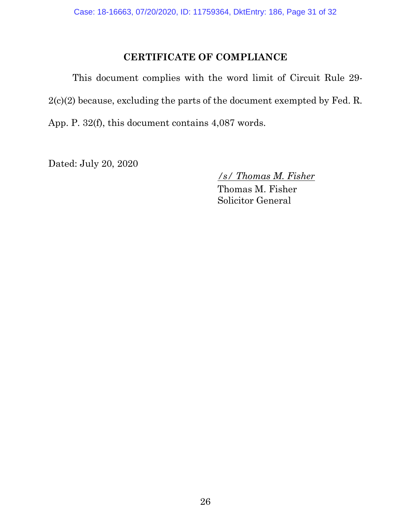## **CERTIFICATE OF COMPLIANCE**

This document complies with the word limit of Circuit Rule 29- 2(c)(2) because, excluding the parts of the document exempted by Fed. R. App. P. 32(f), this document contains 4,087 words.

Dated: July 20, 2020

*/s/ Thomas M. Fisher*

Thomas M. Fisher Solicitor General